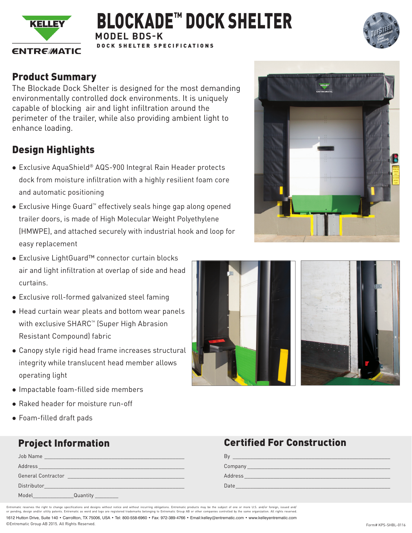

## **MODEL BDS-K** DOCK SHELTER SPECIFICATIONS BLOCKADE™ DOCK SHELTER



### Product Summary

The Blockade Dock Shelter is designed for the most demanding environmentally controlled dock environments. It is uniquely capable of blocking air and light infiltration around the perimeter of the trailer, while also providing ambient light to enhance loading.

# Design Highlights

- Exclusive AquaShield® AQS-900 Integral Rain Header protects dock from moisture infiltration with a highly resilient foam core and automatic positioning
- Exclusive Hinge Guard™ effectively seals hinge gap along opened trailer doors, is made of High Molecular Weight Polyethylene (HMWPE), and attached securely with industrial hook and loop for easy replacement
- Exclusive LightGuard™ connector curtain blocks air and light infiltration at overlap of side and head curtains.
- Exclusive roll-formed galvanized steel faming
- Head curtain wear pleats and bottom wear panels with exclusive SHARC™ (Super High Abrasion Resistant Compound) fabric
- Canopy style rigid head frame increases structural integrity while translucent head member allows operating light
- Impactable foam-filled side members
- Raked header for moisture run-off
- Foam-filled draft pads

| Job Name                     | <u> 1989 - Jan Sterlinger, fransk politiker (d. 1989)</u>                                                            |
|------------------------------|----------------------------------------------------------------------------------------------------------------------|
| Address                      | <u> 1989 - Jan Sterner Sterner, mars andreis er forskellige forskellige om de forskellige forskellige om de fors</u> |
| <b>General Contractor</b>    |                                                                                                                      |
| Distributor                  |                                                                                                                      |
| Model<br><u> Andrew Mars</u> | Quantity                                                                                                             |





### **Project Information Certified For Construction**

| B١      |
|---------|
| Company |
| Address |
| Date    |

©Entrematic Group AB 2015. All Rights Reserved. Form# KPS-SHBL-0116 1612 Hutton Drive, Suite 140 • Carrollton, TX 75006, USA • Tel: 800-558-6960 • Fax: 972-389-4766 • Email:kelley@entrematic.com • www.kelleyentrematic.com Entrematic reserves the right to change specifications and designs aithout notice and without incurring obligations. Entrematic products may be the subject of one or more U.S. and/or foreign, issued and/<br>or pending, design or per mand/or utility patents. Entrematic and and logo are registered trademarks belo<br>design and/or utility patents. Entrematic as word and logo are registered trademarks belo